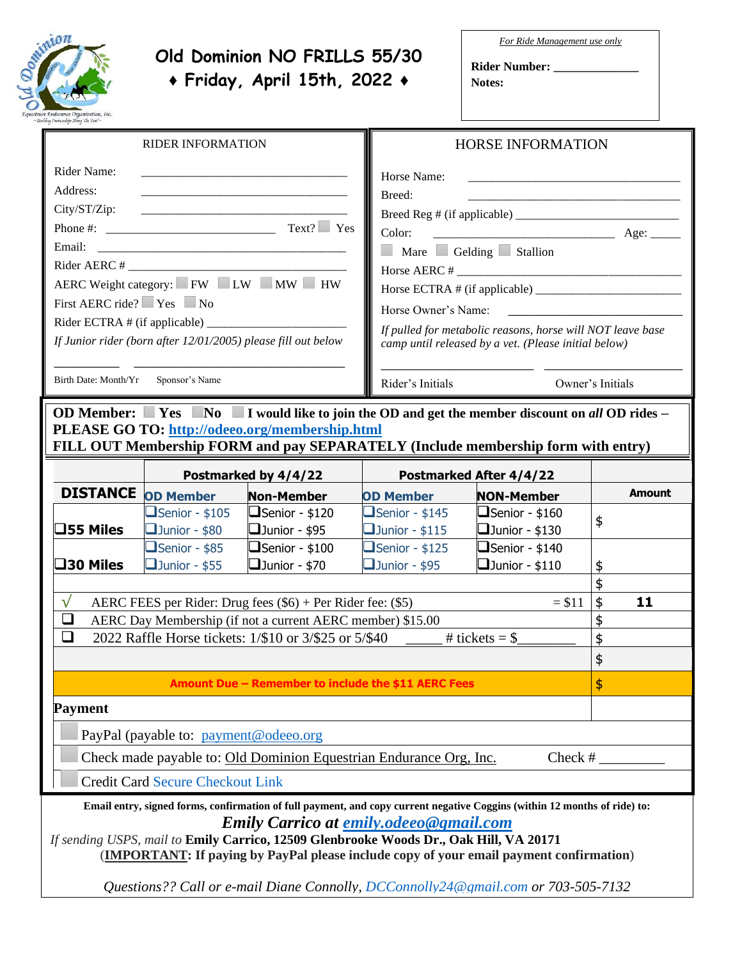

## **Old Dominion NO FRILLS 55/30 ♦ Friday, April 15th, 2022 ♦**

*For Ride Management use only*

**Rider Number: \_\_\_\_\_\_\_\_\_\_\_\_\_\_ Notes:**

| <b>RIDER INFORMATION</b>                                                                                                                                                                                                                                                                                                                                                                                                                             |                                                                                                    |                                                                                                | <b>HORSE INFORMATION</b>                                                                                                                                                                                                                                    |                                                                                                  |                  |  |  |  |
|------------------------------------------------------------------------------------------------------------------------------------------------------------------------------------------------------------------------------------------------------------------------------------------------------------------------------------------------------------------------------------------------------------------------------------------------------|----------------------------------------------------------------------------------------------------|------------------------------------------------------------------------------------------------|-------------------------------------------------------------------------------------------------------------------------------------------------------------------------------------------------------------------------------------------------------------|--------------------------------------------------------------------------------------------------|------------------|--|--|--|
| Rider Name:<br>Address:<br>City/ST/Zip:<br>Email:<br>First AERC ride? $\Box$ Yes $\Box$ No                                                                                                                                                                                                                                                                                                                                                           | AERC Weight category: FW LW MW HW<br>If Junior rider (born after 12/01/2005) please fill out below |                                                                                                | Horse Name:<br>Breed:<br>$\overline{\phantom{a}}$ Age:<br>Color:<br>Mare Gelding Stallion<br>Horse AERC # $\_$<br>Horse Owner's Name:<br>If pulled for metabolic reasons, horse will NOT leave base<br>camp until released by a vet. (Please initial below) |                                                                                                  |                  |  |  |  |
| Birth Date: Month/Yr                                                                                                                                                                                                                                                                                                                                                                                                                                 | Sponsor's Name                                                                                     |                                                                                                | Rider's Initials                                                                                                                                                                                                                                            |                                                                                                  | Owner's Initials |  |  |  |
| OD Member: $\Box$ Yes $\Box$ No $\Box$ I would like to join the OD and get the member discount on all OD rides –<br>PLEASE GO TO: http://odeeo.org/membership.html<br>FILL OUT Membership FORM and pay SEPARATELY (Include membership form with entry)                                                                                                                                                                                               |                                                                                                    |                                                                                                |                                                                                                                                                                                                                                                             |                                                                                                  |                  |  |  |  |
|                                                                                                                                                                                                                                                                                                                                                                                                                                                      |                                                                                                    | Postmarked by 4/4/22                                                                           | <b>Postmarked After 4/4/22</b>                                                                                                                                                                                                                              |                                                                                                  |                  |  |  |  |
| <b>DISTANCE</b>                                                                                                                                                                                                                                                                                                                                                                                                                                      | <b>OD Member</b>                                                                                   | <b>Non-Member</b>                                                                              | <b>OD Member</b>                                                                                                                                                                                                                                            | <b>NON-Member</b>                                                                                | <b>Amount</b>    |  |  |  |
| $\square$ 55 Miles<br>□30 Miles                                                                                                                                                                                                                                                                                                                                                                                                                      | $\Box$ Senior - \$105<br>$\Box$ Junior - \$80<br>$\Box$ Senior - \$85<br>$\Box$ Junior - \$55      | $\Box$ Senior - \$120<br>$\Box$ Junior - \$95<br>$\Box$ Senior - \$100<br>$\Box$ Junior - \$70 | $\Box$ Senior - \$145<br>$\Box$ Junior - \$115<br>$\Box$ Senior - \$125<br>$\Box$ Junior - \$95                                                                                                                                                             | $\Box$ Senior - \$160<br>$\Box$ Junior - \$130<br>$\Box$ Senior - \$140<br>$\Box$ Junior - \$110 | \$<br>\$         |  |  |  |
| $\sqrt{}$<br>AERC FEES per Rider: Drug fees $(\$6)$ + Per Rider fee: $(\$5)$<br>$\Box$<br>AERC Day Membership (if not a current AERC member) \$15.00<br>❏<br>2022 Raffle Horse tickets: 1/\$10 or 3/\$25 or 5/\$40                                                                                                                                                                                                                                   | \$<br>\$<br>11<br>\$<br>\$<br>\$                                                                   |                                                                                                |                                                                                                                                                                                                                                                             |                                                                                                  |                  |  |  |  |
|                                                                                                                                                                                                                                                                                                                                                                                                                                                      |                                                                                                    | Amount Due - Remember to include the \$11 AERC Fees                                            |                                                                                                                                                                                                                                                             |                                                                                                  | \$               |  |  |  |
| <b>Payment</b><br>PayPal (payable to: payment@odeeo.org)<br>Check made payable to: Old Dominion Equestrian Endurance Org, Inc.<br>$Check$ #<br><b>Credit Card Secure Checkout Link</b>                                                                                                                                                                                                                                                               |                                                                                                    |                                                                                                |                                                                                                                                                                                                                                                             |                                                                                                  |                  |  |  |  |
| Email entry, signed forms, confirmation of full payment, and copy current negative Coggins (within 12 months of ride) to:<br><b>Emily Carrico at emily.odeeo@gmail.com</b><br>If sending USPS, mail to Emily Carrico, 12509 Glenbrooke Woods Dr., Oak Hill, VA 20171<br>(IMPORTANT: If paying by PayPal please include copy of your email payment confirmation)<br>Questions?? Call or e-mail Diane Connolly, DCConnolly24@gmail.com or 703-505-7132 |                                                                                                    |                                                                                                |                                                                                                                                                                                                                                                             |                                                                                                  |                  |  |  |  |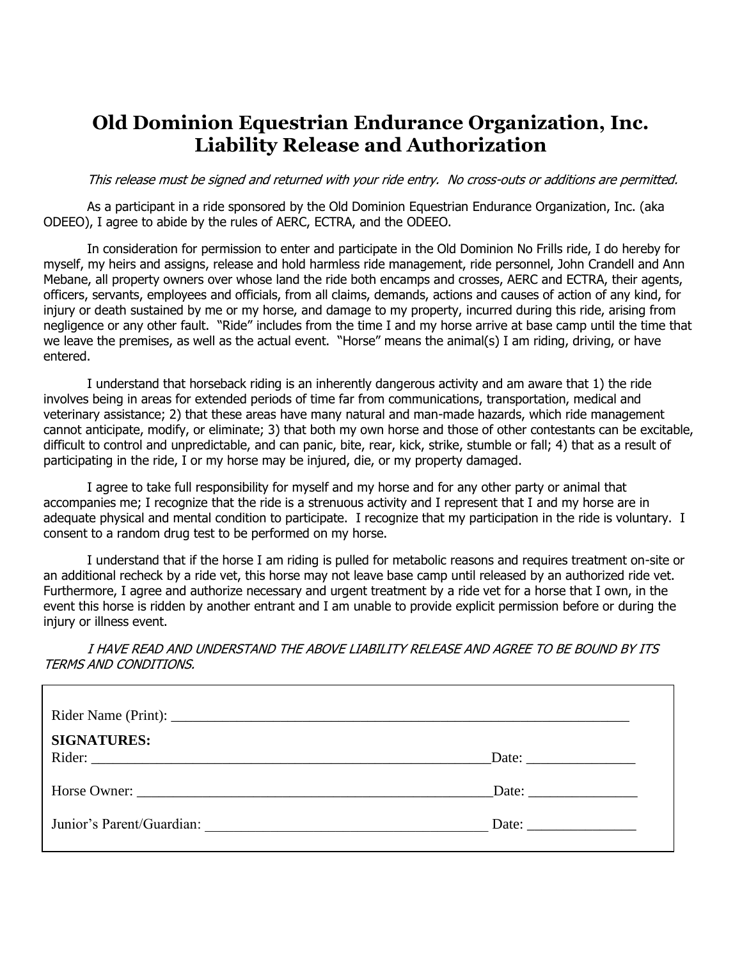## **Old Dominion Equestrian Endurance Organization, Inc. Liability Release and Authorization**

This release must be signed and returned with your ride entry. No cross-outs or additions are permitted.

As a participant in a ride sponsored by the Old Dominion Equestrian Endurance Organization, Inc. (aka ODEEO), I agree to abide by the rules of AERC, ECTRA, and the ODEEO.

In consideration for permission to enter and participate in the Old Dominion No Frills ride, I do hereby for myself, my heirs and assigns, release and hold harmless ride management, ride personnel, John Crandell and Ann Mebane, all property owners over whose land the ride both encamps and crosses, AERC and ECTRA, their agents, officers, servants, employees and officials, from all claims, demands, actions and causes of action of any kind, for injury or death sustained by me or my horse, and damage to my property, incurred during this ride, arising from negligence or any other fault. "Ride" includes from the time I and my horse arrive at base camp until the time that we leave the premises, as well as the actual event. "Horse" means the animal(s) I am riding, driving, or have entered.

I understand that horseback riding is an inherently dangerous activity and am aware that 1) the ride involves being in areas for extended periods of time far from communications, transportation, medical and veterinary assistance; 2) that these areas have many natural and man-made hazards, which ride management cannot anticipate, modify, or eliminate; 3) that both my own horse and those of other contestants can be excitable, difficult to control and unpredictable, and can panic, bite, rear, kick, strike, stumble or fall; 4) that as a result of participating in the ride, I or my horse may be injured, die, or my property damaged.

I agree to take full responsibility for myself and my horse and for any other party or animal that accompanies me; I recognize that the ride is a strenuous activity and I represent that I and my horse are in adequate physical and mental condition to participate. I recognize that my participation in the ride is voluntary. I consent to a random drug test to be performed on my horse.

I understand that if the horse I am riding is pulled for metabolic reasons and requires treatment on-site or an additional recheck by a ride vet, this horse may not leave base camp until released by an authorized ride vet. Furthermore, I agree and authorize necessary and urgent treatment by a ride vet for a horse that I own, in the event this horse is ridden by another entrant and I am unable to provide explicit permission before or during the injury or illness event.

I HAVE READ AND UNDERSTAND THE ABOVE LIABILITY RELEASE AND AGREE TO BE BOUND BY ITS TERMS AND CONDITIONS.

| <b>SIGNATURES:</b>        |                       |
|---------------------------|-----------------------|
|                           | Date: $\qquad \qquad$ |
| Junior's Parent/Guardian: | Date: $\qquad \qquad$ |